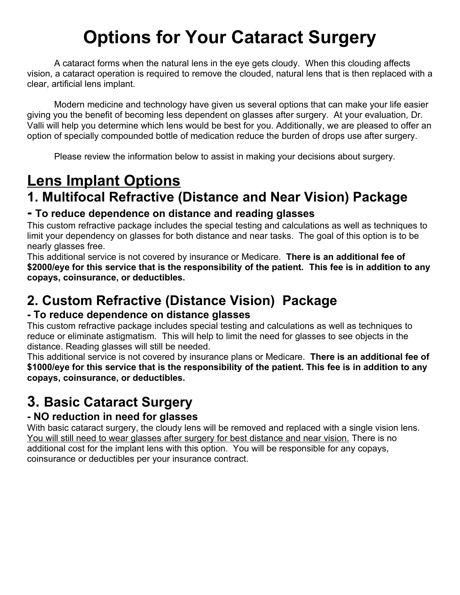# **Options for Your Cataract Surgery**

A cataract forms when the natural lens in the eye gets cloudy. When this clouding affects vision, a cataract operation is required to remove the clouded, natural lens that is then replaced with a clear, artificial lens implant.

Modern medicine and technology have given us several options that can make your life easier giving you the benefit of becoming less dependent on glasses after surgery. At your evaluation, Dr. Valli will help you determine which lens would be best for you. Additionally, we are pleased to offer an option of specially compounded bottle of medication reduce the burden of drops use after surgery.

Please review the information below to assist in making your decisions about surgery.

# **Lens Implant Options**

### **1. Multifocal Refractive (Distance and Near Vision) Package**

#### **- To reduce dependence on distance and reading glasses**

This custom refractive package includes the special testing and calculations as well as techniques to limit your dependency on glasses for both distance and near tasks. The goal of this option is to be nearly glasses free.

This additional service is not covered by insurance or Medicare. **There is an additional fee of \$2000/eye for this service that is the responsibility of the patient. This fee is in addition to any copays, coinsurance, or deductibles.**

### **2. Custom Refractive (Distance Vision) Package**

#### **- To reduce dependence on distance glasses**

This custom refractive package includes special testing and calculations as well as techniques to reduce or eliminate astigmatism. This will help to limit the need for glasses to see objects in the distance. Reading glasses will still be needed.

This additional service is not covered by insurance plans or Medicare. **There is an additional fee of \$1000/eye for this service that is the responsibility of the patient. This fee is in addition to any copays, coinsurance, or deductibles.** 

### **3. Basic Cataract Surgery**

#### **- NO reduction in need for glasses**

With basic cataract surgery, the cloudy lens will be removed and replaced with a single vision lens. You will still need to wear glasses after surgery for best distance and near vision. There is no additional cost for the implant lens with this option. You will be responsible for any copays, coinsurance or deductibles per your insurance contract.